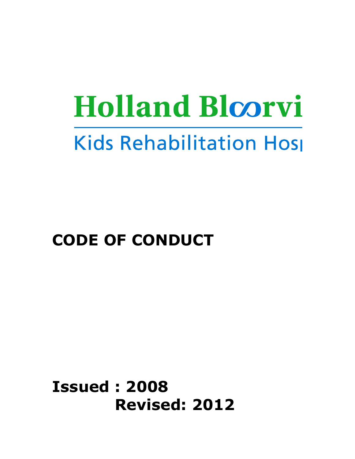# **Holland Bloorvi Kids Rehabilitation Host**

# CODE OF CONDUCT

Issued : 2008 Revised: 2012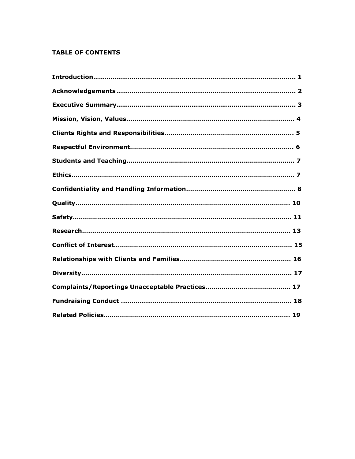# TABLE OF CONTENTS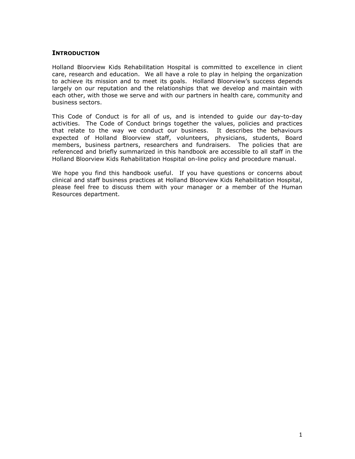# **INTRODUCTION**

Holland Bloorview Kids Rehabilitation Hospital is committed to excellence in client care, research and education. We all have a role to play in helping the organization to achieve its mission and to meet its goals. Holland Bloorview's success depends largely on our reputation and the relationships that we develop and maintain with each other, with those we serve and with our partners in health care, community and business sectors.

This Code of Conduct is for all of us, and is intended to guide our day-to-day activities. The Code of Conduct brings together the values, policies and practices that relate to the way we conduct our business. It describes the behaviours expected of Holland Bloorview staff, volunteers, physicians, students, Board members, business partners, researchers and fundraisers. The policies that are referenced and briefly summarized in this handbook are accessible to all staff in the Holland Bloorview Kids Rehabilitation Hospital on-line policy and procedure manual.

We hope you find this handbook useful. If you have questions or concerns about clinical and staff business practices at Holland Bloorview Kids Rehabilitation Hospital, please feel free to discuss them with your manager or a member of the Human Resources department.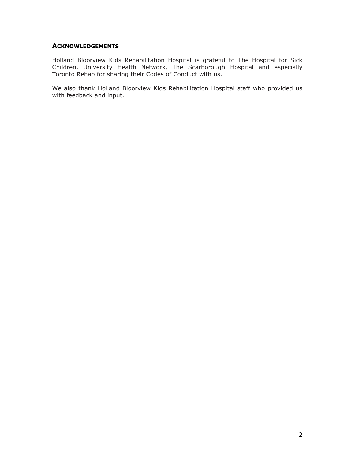# **ACKNOWLEDGEMENTS**

Holland Bloorview Kids Rehabilitation Hospital is grateful to The Hospital for Sick Children, University Health Network, The Scarborough Hospital and especially Toronto Rehab for sharing their Codes of Conduct with us.

We also thank Holland Bloorview Kids Rehabilitation Hospital staff who provided us with feedback and input.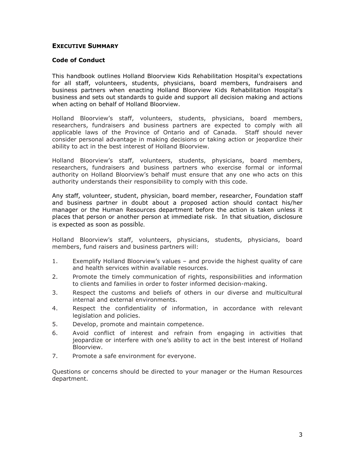# EXECUTIVE SUMMARY

#### Code of Conduct

This handbook outlines Holland Bloorview Kids Rehabilitation Hospital's expectations for all staff, volunteers, students, physicians, board members, fundraisers and business partners when enacting Holland Bloorview Kids Rehabilitation Hospital's business and sets out standards to guide and support all decision making and actions when acting on behalf of Holland Bloorview.

Holland Bloorview's staff, volunteers, students, physicians, board members, researchers, fundraisers and business partners are expected to comply with all applicable laws of the Province of Ontario and of Canada. Staff should never consider personal advantage in making decisions or taking action or jeopardize their ability to act in the best interest of Holland Bloorview.

Holland Bloorview's staff, volunteers, students, physicians, board members, researchers, fundraisers and business partners who exercise formal or informal authority on Holland Bloorview's behalf must ensure that any one who acts on this authority understands their responsibility to comply with this code.

Any staff, volunteer, student, physician, board member, researcher, Foundation staff and business partner in doubt about a proposed action should contact his/her manager or the Human Resources department before the action is taken unless it places that person or another person at immediate risk. In that situation, disclosure is expected as soon as possible.

Holland Bloorview's staff, volunteers, physicians, students, physicians, board members, fund raisers and business partners will:

- 1. Exemplify Holland Bloorview's values and provide the highest quality of care and health services within available resources.
- 2. Promote the timely communication of rights, responsibilities and information to clients and families in order to foster informed decision-making.
- 3. Respect the customs and beliefs of others in our diverse and multicultural internal and external environments.
- 4. Respect the confidentiality of information, in accordance with relevant legislation and policies.
- 5. Develop, promote and maintain competence.
- 6. Avoid conflict of interest and refrain from engaging in activities that jeopardize or interfere with one's ability to act in the best interest of Holland Bloorview.
- 7. Promote a safe environment for everyone.

Questions or concerns should be directed to your manager or the Human Resources department.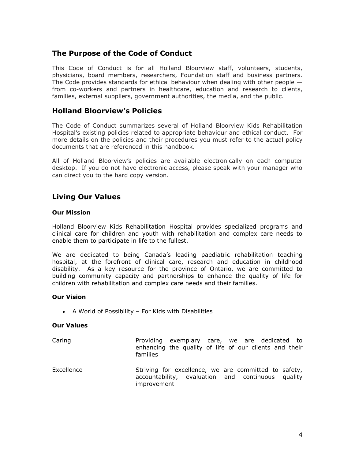# The Purpose of the Code of Conduct

This Code of Conduct is for all Holland Bloorview staff, volunteers, students, physicians, board members, researchers, Foundation staff and business partners. The Code provides standards for ethical behaviour when dealing with other people  $$ from co-workers and partners in healthcare, education and research to clients, families, external suppliers, government authorities, the media, and the public.

# Holland Bloorview's Policies

The Code of Conduct summarizes several of Holland Bloorview Kids Rehabilitation Hospital's existing policies related to appropriate behaviour and ethical conduct. For more details on the policies and their procedures you must refer to the actual policy documents that are referenced in this handbook.

All of Holland Bloorview's policies are available electronically on each computer desktop. If you do not have electronic access, please speak with your manager who can direct you to the hard copy version.

# Living Our Values

### Our Mission

Holland Bloorview Kids Rehabilitation Hospital provides specialized programs and clinical care for children and youth with rehabilitation and complex care needs to enable them to participate in life to the fullest.

We are dedicated to being Canada's leading paediatric rehabilitation teaching hospital, at the forefront of clinical care, research and education in childhood disability. As a key resource for the province of Ontario, we are committed to building community capacity and partnerships to enhance the quality of life for children with rehabilitation and complex care needs and their families.

### Our Vision

A World of Possibility – For Kids with Disabilities

### Our Values

- Caring **Providing exemplary care, we are dedicated to** enhancing the quality of life of our clients and their families
- Excellence Striving for excellence, we are committed to safety, accountability, evaluation and continuous quality improvement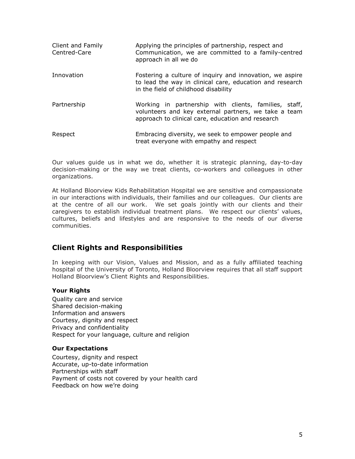| Client and Family<br>Centred-Care | Applying the principles of partnership, respect and<br>Communication, we are committed to a family-centred<br>approach in all we do                                |
|-----------------------------------|--------------------------------------------------------------------------------------------------------------------------------------------------------------------|
| Innovation                        | Fostering a culture of inquiry and innovation, we aspire<br>to lead the way in clinical care, education and research<br>in the field of childhood disability       |
| Partnership                       | Working in partnership with clients, families, staff,<br>volunteers and key external partners, we take a team<br>approach to clinical care, education and research |
| Respect                           | Embracing diversity, we seek to empower people and<br>treat everyone with empathy and respect                                                                      |

Our values guide us in what we do, whether it is strategic planning, day-to-day decision-making or the way we treat clients, co-workers and colleagues in other organizations.

At Holland Bloorview Kids Rehabilitation Hospital we are sensitive and compassionate in our interactions with individuals, their families and our colleagues. Our clients are at the centre of all our work. We set goals jointly with our clients and their caregivers to establish individual treatment plans. We respect our clients' values, cultures, beliefs and lifestyles and are responsive to the needs of our diverse communities.

# Client Rights and Responsibilities

In keeping with our Vision, Values and Mission, and as a fully affiliated teaching hospital of the University of Toronto, Holland Bloorview requires that all staff support Holland Bloorview's Client Rights and Responsibilities.

# Your Rights

Quality care and service Shared decision-making Information and answers Courtesy, dignity and respect Privacy and confidentiality Respect for your language, culture and religion

# Our Expectations

Courtesy, dignity and respect Accurate, up-to-date information Partnerships with staff Payment of costs not covered by your health card Feedback on how we're doing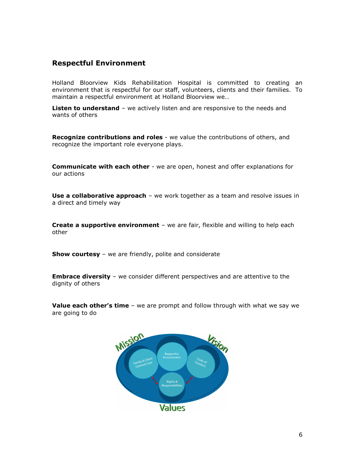# Respectful Environment

Holland Bloorview Kids Rehabilitation Hospital is committed to creating an environment that is respectful for our staff, volunteers, clients and their families. To maintain a respectful environment at Holland Bloorview we…

Listen to understand - we actively listen and are responsive to the needs and wants of others

**Recognize contributions and roles** - we value the contributions of others, and recognize the important role everyone plays.

**Communicate with each other** - we are open, honest and offer explanations for our actions

Use a collaborative approach - we work together as a team and resolve issues in a direct and timely way

**Create a supportive environment** – we are fair, flexible and willing to help each other

**Show courtesy** – we are friendly, polite and considerate

**Embrace diversity** – we consider different perspectives and are attentive to the dignity of others

Value each other's time - we are prompt and follow through with what we say we are going to do

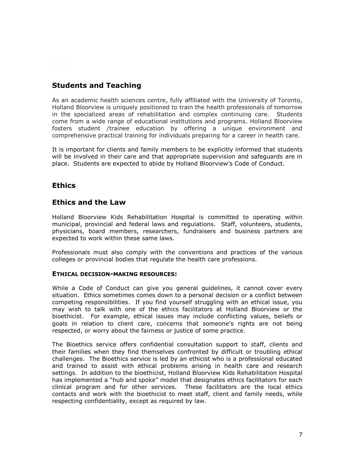# Students and Teaching

As an academic health sciences centre, fully affiliated with the University of Toronto, Holland Bloorview is uniquely positioned to train the health professionals of tomorrow in the specialized areas of rehabilitation and complex continuing care. Students come from a wide range of educational institutions and programs. Holland Bloorview fosters student /trainee education by offering a unique environment and comprehensive practical training for individuals preparing for a career in health care.

It is important for clients and family members to be explicitly informed that students will be involved in their care and that appropriate supervision and safeguards are in place. Students are expected to abide by Holland Bloorview's Code of Conduct.

# **Ethics**

# Ethics and the Law

Holland Bloorview Kids Rehabilitation Hospital is committed to operating within municipal, provincial and federal laws and regulations. Staff, volunteers, students, physicians, board members, researchers, fundraisers and business partners are expected to work within these same laws.

Professionals must also comply with the conventions and practices of the various colleges or provincial bodies that regulate the health care professions.

# ETHICAL DECISION-MAKING RESOURCES:

While a Code of Conduct can give you general guidelines, it cannot cover every situation. Ethics sometimes comes down to a personal decision or a conflict between competing responsibilities. If you find yourself struggling with an ethical issue, you may wish to talk with one of the ethics facilitators at Holland Bloorview or the bioethicist. For example, ethical issues may include conflicting values, beliefs or goals in relation to client care, concerns that someone's rights are not being respected, or worry about the fairness or justice of some practice.

The Bioethics service offers confidential consultation support to staff, clients and their families when they find themselves confronted by difficult or troubling ethical challenges. The Bioethics service is led by an ethicist who is a professional educated and trained to assist with ethical problems arising in health care and research settings. In addition to the bioethicist, Holland Bloorview Kids Rehabilitation Hospital has implemented a "hub and spoke" model that designates ethics facilitators for each clinical program and for other services. These facilitators are the local ethics contacts and work with the bioethicist to meet staff, client and family needs, while respecting confidentiality, except as required by law.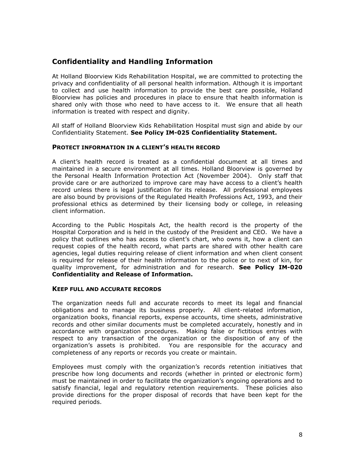# Confidentiality and Handling Information

At Holland Bloorview Kids Rehabilitation Hospital, we are committed to protecting the privacy and confidentiality of all personal health information. Although it is important to collect and use health information to provide the best care possible, Holland Bloorview has policies and procedures in place to ensure that health information is shared only with those who need to have access to it. We ensure that all heath information is treated with respect and dignity.

All staff of Holland Bloorview Kids Rehabilitation Hospital must sign and abide by our Confidentiality Statement. See Policy IM-025 Confidentiality Statement.

### PROTECT INFORMATION IN A CLIENT'S HEALTH RECORD

A client's health record is treated as a confidential document at all times and maintained in a secure environment at all times. Holland Bloorview is governed by the Personal Health Information Protection Act (November 2004). Only staff that provide care or are authorized to improve care may have access to a client's health record unless there is legal justification for its release. All professional employees are also bound by provisions of the Regulated Health Professions Act, 1993, and their professional ethics as determined by their licensing body or college, in releasing client information.

According to the Public Hospitals Act, the health record is the property of the Hospital Corporation and is held in the custody of the President and CEO. We have a policy that outlines who has access to client's chart, who owns it, how a client can request copies of the health record, what parts are shared with other health care agencies, legal duties requiring release of client information and when client consent is required for release of their health information to the police or to next of kin, for quality improvement, for administration and for research. See Policy IM-020 Confidentiality and Release of Information.

### KEEP FULL AND ACCURATE RECORDS

The organization needs full and accurate records to meet its legal and financial obligations and to manage its business properly. All client-related information, organization books, financial reports, expense accounts, time sheets, administrative records and other similar documents must be completed accurately, honestly and in accordance with organization procedures. Making false or fictitious entries with respect to any transaction of the organization or the disposition of any of the organization's assets is prohibited. You are responsible for the accuracy and completeness of any reports or records you create or maintain.

Employees must comply with the organization's records retention initiatives that prescribe how long documents and records (whether in printed or electronic form) must be maintained in order to facilitate the organization's ongoing operations and to satisfy financial, legal and regulatory retention requirements. These policies also provide directions for the proper disposal of records that have been kept for the required periods.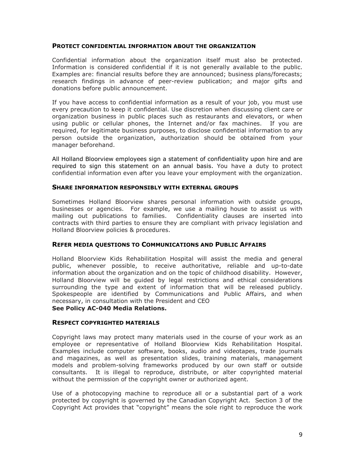#### PROTECT CONFIDENTIAL INFORMATION ABOUT THE ORGANIZATION

Confidential information about the organization itself must also be protected. Information is considered confidential if it is not generally available to the public. Examples are: financial results before they are announced; business plans/forecasts; research findings in advance of peer-review publication; and major gifts and donations before public announcement.

If you have access to confidential information as a result of your job, you must use every precaution to keep it confidential. Use discretion when discussing client care or organization business in public places such as restaurants and elevators, or when using public or cellular phones, the Internet and/or fax machines. If you are required, for legitimate business purposes, to disclose confidential information to any person outside the organization, authorization should be obtained from your manager beforehand.

All Holland Bloorview employees sign a statement of confidentiality upon hire and are required to sign this statement on an annual basis. You have a duty to protect confidential information even after you leave your employment with the organization.

#### SHARE INFORMATION RESPONSIBLY WITH EXTERNAL GROUPS

Sometimes Holland Bloorview shares personal information with outside groups, businesses or agencies. For example, we use a mailing house to assist us with mailing out publications to families. Confidentiality clauses are inserted into contracts with third parties to ensure they are compliant with privacy legislation and Holland Bloorview policies & procedures.

### REFER MEDIA QUESTIONS TO COMMUNICATIONS AND PUBLIC AFFAIRS

Holland Bloorview Kids Rehabilitation Hospital will assist the media and general public, whenever possible, to receive authoritative, reliable and up-to-date information about the organization and on the topic of childhood disability. However, Holland Bloorview will be guided by legal restrictions and ethical considerations surrounding the type and extent of information that will be released publicly. Spokespeople are identified by Communications and Public Affairs, and when necessary, in consultation with the President and CEO See Policy AC-040 Media Relations.

#### RESPECT COPYRIGHTED MATERIALS

Copyright laws may protect many materials used in the course of your work as an employee or representative of Holland Bloorview Kids Rehabilitation Hospital. Examples include computer software, books, audio and videotapes, trade journals and magazines, as well as presentation slides, training materials, management models and problem-solving frameworks produced by our own staff or outside consultants. It is illegal to reproduce, distribute, or alter copyrighted material without the permission of the copyright owner or authorized agent.

Use of a photocopying machine to reproduce all or a substantial part of a work protected by copyright is governed by the Canadian Copyright Act. Section 3 of the Copyright Act provides that "copyright" means the sole right to reproduce the work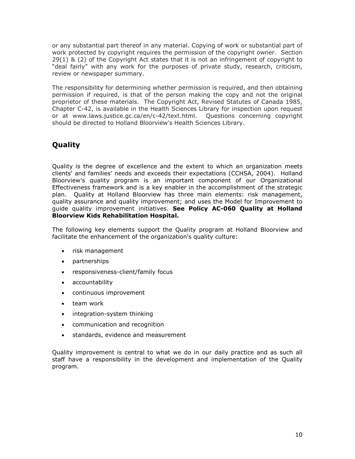or any substantial part thereof in any material. Copying of work or substantial part of work protected by copyright requires the permission of the copyright owner. Section 29(1) & (2) of the Copyright Act states that it is not an infringement of copyright to "deal fairly" with any work for the purposes of private study, research, criticism, review or newspaper summary.

The responsibility for determining whether permission is required, and then obtaining permission if required, is that of the person making the copy and not the original proprietor of these materials. The Copyright Act, Revised Statutes of Canada 1985, Chapter C-42, is available in the Health Sciences Library for inspection upon request or at www.laws.justice.gc.ca/en/c-42/text.html. Questions concerning copyright should be directed to Holland Bloorview's Health Sciences Library.

# Quality

Quality is the degree of excellence and the extent to which an organization meets clients' and families' needs and exceeds their expectations (CCHSA, 2004). Holland Bloorview's quality program is an important component of our Organizational Effectiveness framework and is a key enabler in the accomplishment of the strategic plan. Quality at Holland Bloorview has three main elements: risk management, quality assurance and quality improvement; and uses the Model for Improvement to guide quality improvement initiatives. See Policy AC-060 Quality at Holland Bloorview Kids Rehabilitation Hospital.

The following key elements support the Quality program at Holland Bloorview and facilitate the enhancement of the organization's quality culture:

- risk management
- partnerships
- responsiveness-client/family focus
- accountability
- continuous improvement
- team work
- integration-system thinking
- communication and recognition
- standards, evidence and measurement

Quality improvement is central to what we do in our daily practice and as such all staff have a responsibility in the development and implementation of the Quality program.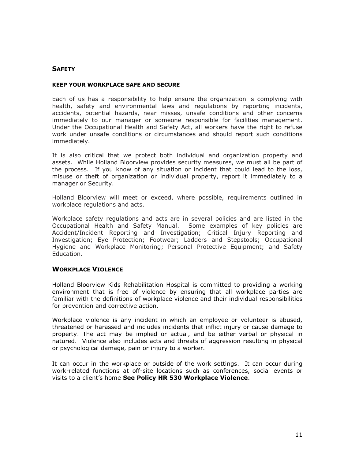# **SAFETY**

#### KEEP YOUR WORKPLACE SAFE AND SECURE

Each of us has a responsibility to help ensure the organization is complying with health, safety and environmental laws and regulations by reporting incidents, accidents, potential hazards, near misses, unsafe conditions and other concerns immediately to our manager or someone responsible for facilities management. Under the Occupational Health and Safety Act, all workers have the right to refuse work under unsafe conditions or circumstances and should report such conditions immediately.

It is also critical that we protect both individual and organization property and assets. While Holland Bloorview provides security measures, we must all be part of the process. If you know of any situation or incident that could lead to the loss, misuse or theft of organization or individual property, report it immediately to a manager or Security.

Holland Bloorview will meet or exceed, where possible, requirements outlined in workplace regulations and acts.

Workplace safety regulations and acts are in several policies and are listed in the Occupational Health and Safety Manual. Some examples of key policies are Accident/Incident Reporting and Investigation; Critical Injury Reporting and Investigation; Eye Protection; Footwear; Ladders and Stepstools; Occupational Hygiene and Workplace Monitoring; Personal Protective Equipment; and Safety Education.

### WORKPLACE VIOLENCE

Holland Bloorview Kids Rehabilitation Hospital is committed to providing a working environment that is free of violence by ensuring that all workplace parties are familiar with the definitions of workplace violence and their individual responsibilities for prevention and corrective action.

Workplace violence is any incident in which an employee or volunteer is abused, threatened or harassed and includes incidents that inflict injury or cause damage to property. The act may be implied or actual, and be either verbal or physical in natured. Violence also includes acts and threats of aggression resulting in physical or psychological damage, pain or injury to a worker.

It can occur in the workplace or outside of the work settings. It can occur during work-related functions at off-site locations such as conferences, social events or visits to a client's home See Policy HR 530 Workplace Violence.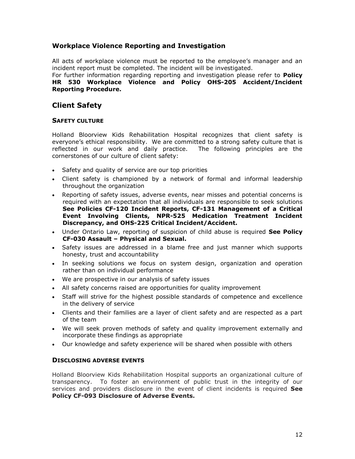# Workplace Violence Reporting and Investigation

All acts of workplace violence must be reported to the employee's manager and an incident report must be completed. The incident will be investigated.

#### For further information regarding reporting and investigation please refer to **Policy** HR 530 Workplace Violence and Policy OHS-205 Accident/Incident Reporting Procedure.

# Client Safety

# SAFETY CULTURE

Holland Bloorview Kids Rehabilitation Hospital recognizes that client safety is everyone's ethical responsibility. We are committed to a strong safety culture that is reflected in our work and daily practice. The following principles are the cornerstones of our culture of client safety:

- Safety and quality of service are our top priorities
- Client safety is championed by a network of formal and informal leadership throughout the organization
- Reporting of safety issues, adverse events, near misses and potential concerns is required with an expectation that all individuals are responsible to seek solutions See Policies CF-120 Incident Reports, CF-131 Management of a Critical Event Involving Clients, NPR-525 Medication Treatment Incident Discrepancy, and OHS-225 Critical Incident/Accident.
- Under Ontario Law, reporting of suspicion of child abuse is required See Policy CF-030 Assault – Physical and Sexual.
- Safety issues are addressed in a blame free and just manner which supports honesty, trust and accountability
- In seeking solutions we focus on system design, organization and operation rather than on individual performance
- We are prospective in our analysis of safety issues
- All safety concerns raised are opportunities for quality improvement
- Staff will strive for the highest possible standards of competence and excellence in the delivery of service
- Clients and their families are a layer of client safety and are respected as a part of the team
- We will seek proven methods of safety and quality improvement externally and incorporate these findings as appropriate
- Our knowledge and safety experience will be shared when possible with others

# DISCLOSING ADVERSE EVENTS

Holland Bloorview Kids Rehabilitation Hospital supports an organizational culture of transparency. To foster an environment of public trust in the integrity of our services and providers disclosure in the event of client incidents is required See Policy CF-093 Disclosure of Adverse Events.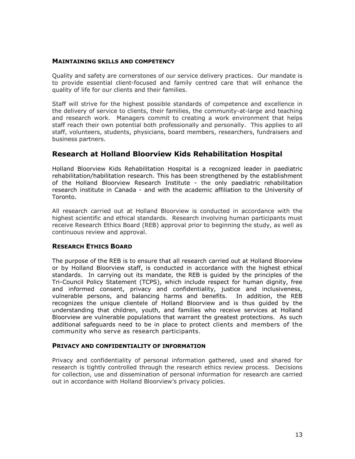#### MAINTAINING SKILLS AND COMPETENCY

Quality and safety are cornerstones of our service delivery practices. Our mandate is to provide essential client-focused and family centred care that will enhance the quality of life for our clients and their families.

Staff will strive for the highest possible standards of competence and excellence in the delivery of service to clients, their families, the community-at-large and teaching and research work. Managers commit to creating a work environment that helps staff reach their own potential both professionally and personally. This applies to all staff, volunteers, students, physicians, board members, researchers, fundraisers and business partners.

# Research at Holland Bloorview Kids Rehabilitation Hospital

Holland Bloorview Kids Rehabilitation Hospital is a recognized leader in paediatric rehabilitation/habilitation research. This has been strengthened by the establishment of the Holland Bloorview Research Institute - the only paediatric rehabilitation research institute in Canada - and with the academic affiliation to the University of Toronto.

All research carried out at Holland Bloorview is conducted in accordance with the highest scientific and ethical standards. Research involving human participants must receive Research Ethics Board (REB) approval prior to beginning the study, as well as continuous review and approval.

# RESEARCH ETHICS BOARD

The purpose of the REB is to ensure that all research carried out at Holland Bloorview or by Holland Bloorview staff, is conducted in accordance with the highest ethical standards. In carrying out its mandate, the REB is guided by the principles of the Tri-Council Policy Statement (TCPS), which include respect for human dignity, free and informed consent, privacy and confidentiality, justice and inclusiveness, vulnerable persons, and balancing harms and benefits. In addition, the REB recognizes the unique clientele of Holland Bloorview and is thus guided by the understanding that children, youth, and families who receive services at Holland Bloorview are vulnerable populations that warrant the greatest protections. As such additional safeguards need to be in place to protect clients and members of the community who serve as research participants.

### PRIVACY AND CONFIDENTIALITY OF INFORMATION

Privacy and confidentiality of personal information gathered, used and shared for research is tightly controlled through the research ethics review process. Decisions for collection, use and dissemination of personal information for research are carried out in accordance with Holland Bloorview's privacy policies.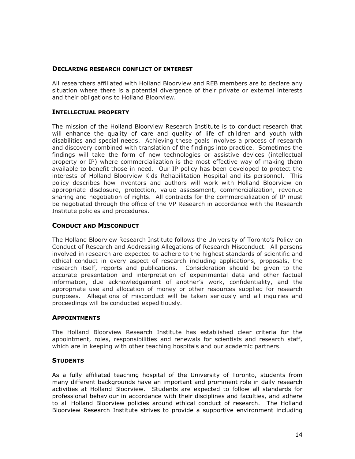# DECLARING RESEARCH CONFLICT OF INTEREST

All researchers affiliated with Holland Bloorview and REB members are to declare any situation where there is a potential divergence of their private or external interests and their obligations to Holland Bloorview.

# INTELLECTUAL PROPERTY

The mission of the Holland Bloorview Research Institute is to conduct research that will enhance the quality of care and quality of life of children and youth with disabilities and special needs. Achieving these goals involves a process of research and discovery combined with translation of the findings into practice. Sometimes the findings will take the form of new technologies or assistive devices (intellectual property or IP) where commercialization is the most effective way of making them available to benefit those in need. Our IP policy has been developed to protect the interests of Holland Bloorview Kids Rehabilitation Hospital and its personnel. This policy describes how inventors and authors will work with Holland Bloorview on appropriate disclosure, protection, value assessment, commercialization, revenue sharing and negotiation of rights. All contracts for the commercialization of IP must be negotiated through the office of the VP Research in accordance with the Research Institute policies and procedures.

# CONDUCT AND MISCONDUCT

The Holland Bloorview Research Institute follows the University of Toronto's Policy on Conduct of Research and Addressing Allegations of Research Misconduct. All persons involved in research are expected to adhere to the highest standards of scientific and ethical conduct in every aspect of research including applications, proposals, the research itself, reports and publications. Consideration should be given to the accurate presentation and interpretation of experimental data and other factual information, due acknowledgement of another's work, confidentiality, and the appropriate use and allocation of money or other resources supplied for research purposes. Allegations of misconduct will be taken seriously and all inquiries and proceedings will be conducted expeditiously.

### APPOINTMENTS

The Holland Bloorview Research Institute has established clear criteria for the appointment, roles, responsibilities and renewals for scientists and research staff, which are in keeping with other teaching hospitals and our academic partners.

# **STUDENTS**

As a fully affiliated teaching hospital of the University of Toronto, students from many different backgrounds have an important and prominent role in daily research activities at Holland Bloorview. Students are expected to follow all standards for professional behaviour in accordance with their disciplines and faculties, and adhere to all Holland Bloorview policies around ethical conduct of research. The Holland Bloorview Research Institute strives to provide a supportive environment including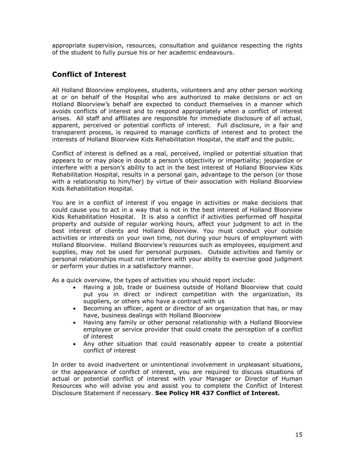appropriate supervision, resources, consultation and guidance respecting the rights of the student to fully pursue his or her academic endeavours.

# Conflict of Interest

All Holland Bloorview employees, students, volunteers and any other person working at or on behalf of the Hospital who are authorized to make decisions or act on Holland Bloorview's behalf are expected to conduct themselves in a manner which avoids conflicts of interest and to respond appropriately when a conflict of interest arises. All staff and affiliates are responsible for immediate disclosure of all actual, apparent, perceived or potential conflicts of interest. Full disclosure, in a fair and transparent process, is required to manage conflicts of interest and to protect the interests of Holland Bloorview Kids Rehabilitation Hospital, the staff and the public.

Conflict of interest is defined as a real, perceived, implied or potential situation that appears to or may place in doubt a person's objectivity or impartiality; jeopardize or interfere with a person's ability to act in the best interest of Holland Bloorview Kids Rehabilitation Hospital, results in a personal gain, advantage to the person (or those with a relationship to him/her) by virtue of their association with Holland Bloorview Kids Rehabilitation Hospital.

You are in a conflict of interest if you engage in activities or make decisions that could cause you to act in a way that is not in the best interest of Holland Bloorview Kids Rehabilitation Hospital. It is also a conflict if activities performed off hospital property and outside of regular working hours, affect your judgment to act in the best interest of clients and Holland Bloorview. You must conduct your outside activities or interests on your own time, not during your hours of employment with Holland Bloorview. Holland Bloorview's resources such as employees, equipment and supplies, may not be used for personal purposes. Outside activities and family or personal relationships must not interfere with your ability to exercise good judgment or perform your duties in a satisfactory manner.

As a quick overview, the types of activities you should report include:

- Having a job, trade or business outside of Holland Bloorview that could put you in direct or indirect competition with the organization, its suppliers, or others who have a contract with us
- Becoming an officer, agent or director of an organization that has, or may have, business dealings with Holland Bloorview
- Having any family or other personal relationship with a Holland Bloorview employee or service provider that could create the perception of a conflict of interest
- Any other situation that could reasonably appear to create a potential conflict of interest

In order to avoid inadvertent or unintentional involvement in unpleasant situations, or the appearance of conflict of interest, you are required to discuss situations of actual or potential conflict of interest with your Manager or Director of Human Resources who will advise you and assist you to complete the Conflict of Interest Disclosure Statement if necessary. See Policy HR 437 Conflict of Interest.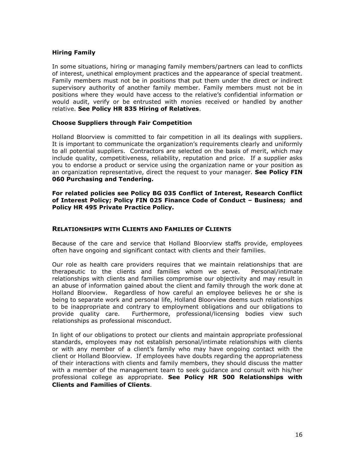# Hiring Family

In some situations, hiring or managing family members/partners can lead to conflicts of interest, unethical employment practices and the appearance of special treatment. Family members must not be in positions that put them under the direct or indirect supervisory authority of another family member. Family members must not be in positions where they would have access to the relative's confidential information or would audit, verify or be entrusted with monies received or handled by another relative. See Policy HR 835 Hiring of Relatives.

# Choose Suppliers through Fair Competition

Holland Bloorview is committed to fair competition in all its dealings with suppliers. It is important to communicate the organization's requirements clearly and uniformly to all potential suppliers. Contractors are selected on the basis of merit, which may include quality, competitiveness, reliability, reputation and price. If a supplier asks you to endorse a product or service using the organization name or your position as an organization representative, direct the request to your manager. See Policy FIN 060 Purchasing and Tendering.

#### For related policies see Policy BG 035 Conflict of Interest, Research Conflict of Interest Policy; Policy FIN 025 Finance Code of Conduct – Business; and Policy HR 495 Private Practice Policy.

# RELATIONSHIPS WITH CLIENTS AND FAMILIES OF CLIENTS

Because of the care and service that Holland Bloorview staffs provide, employees often have ongoing and significant contact with clients and their families.

Our role as health care providers requires that we maintain relationships that are therapeutic to the clients and families whom we serve. Personal/intimate relationships with clients and families compromise our objectivity and may result in an abuse of information gained about the client and family through the work done at Holland Bloorview. Regardless of how careful an employee believes he or she is being to separate work and personal life, Holland Bloorview deems such relationships to be inappropriate and contrary to employment obligations and our obligations to provide quality care. Furthermore, professional/licensing bodies view such relationships as professional misconduct.

In light of our obligations to protect our clients and maintain appropriate professional standards, employees may not establish personal/intimate relationships with clients or with any member of a client's family who may have ongoing contact with the client or Holland Bloorview. If employees have doubts regarding the appropriateness of their interactions with clients and family members, they should discuss the matter with a member of the management team to seek guidance and consult with his/her professional college as appropriate. See Policy HR 500 Relationships with Clients and Families of Clients.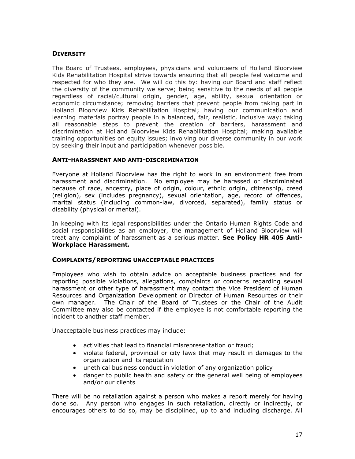# **DIVERSITY**

The Board of Trustees, employees, physicians and volunteers of Holland Bloorview Kids Rehabilitation Hospital strive towards ensuring that all people feel welcome and respected for who they are. We will do this by: having our Board and staff reflect the diversity of the community we serve; being sensitive to the needs of all people regardless of racial/cultural origin, gender, age, ability, sexual orientation or economic circumstance; removing barriers that prevent people from taking part in Holland Bloorview Kids Rehabilitation Hospital; having our communication and learning materials portray people in a balanced, fair, realistic, inclusive way; taking all reasonable steps to prevent the creation of barriers, harassment and discrimination at Holland Bloorview Kids Rehabilitation Hospital; making available training opportunities on equity issues; involving our diverse community in our work by seeking their input and participation whenever possible.

### ANTI-HARASSMENT AND ANTI-DISCRIMINATION

Everyone at Holland Bloorview has the right to work in an environment free from harassment and discrimination. No employee may be harassed or discriminated because of race, ancestry, place of origin, colour, ethnic origin, citizenship, creed (religion), sex (includes pregnancy), sexual orientation, age, record of offences, marital status (including common-law, divorced, separated), family status or disability (physical or mental).

In keeping with its legal responsibilities under the Ontario Human Rights Code and social responsibilities as an employer, the management of Holland Bloorview will treat any complaint of harassment as a serious matter. See Policy HR 405 Anti-Workplace Harassment.

#### COMPLAINTS/REPORTING UNACCEPTABLE PRACTICES

Employees who wish to obtain advice on acceptable business practices and for reporting possible violations, allegations, complaints or concerns regarding sexual harassment or other type of harassment may contact the Vice President of Human Resources and Organization Development or Director of Human Resources or their own manager. The Chair of the Board of Trustees or the Chair of the Audit Committee may also be contacted if the employee is not comfortable reporting the incident to another staff member.

Unacceptable business practices may include:

- activities that lead to financial misrepresentation or fraud;
- violate federal, provincial or city laws that may result in damages to the organization and its reputation
- unethical business conduct in violation of any organization policy
- danger to public health and safety or the general well being of employees and/or our clients

There will be no retaliation against a person who makes a report merely for having done so. Any person who engages in such retaliation, directly or indirectly, or encourages others to do so, may be disciplined, up to and including discharge. All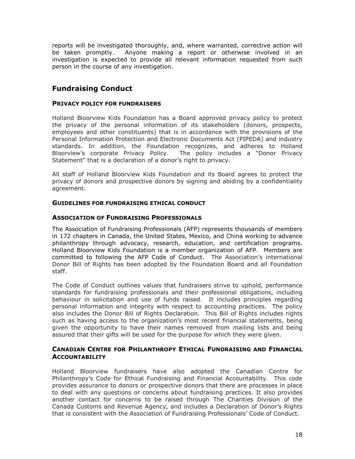reports will be investigated thoroughly, and, where warranted, corrective action will be taken promptly. Anyone making a report or otherwise involved in an investigation is expected to provide all relevant information requested from such person in the course of any investigation.

# Fundraising Conduct

# PRIVACY POLICY FOR FUNDRAISERS

Holland Bloorview Kids Foundation has a Board approved privacy policy to protect the privacy of the personal information of its stakeholders (donors, prospects, employees and other constituents) that is in accordance with the provisions of the Personal Information Protection and Electronic Documents Act (PIPEDA) and industry standards. In addition, the Foundation recognizes, and adheres to Holland Bloorview's corporate Privacy Policy. The policy includes a "Donor Privacy Statement" that is a declaration of a donor's right to privacy.

All staff of Holland Bloorview Kids Foundation and its Board agrees to protect the privacy of donors and prospective donors by signing and abiding by a confidentiality agreement.

# GUIDELINES FOR FUNDRAISING ETHICAL CONDUCT

# ASSOCIATION OF FUNDRAISING PROFESSIONALS

The Association of Fundraising Professionals (AFP) represents thousands of members in 172 chapters in Canada, the United States, Mexico, and China working to advance philanthropy through advocacy, research, education, and certification programs. Holland Bloorview Kids Foundation is a member organization of AFP. Members are committed to following the AFP Code of Conduct. The Association's international Donor Bill of Rights has been adopted by the Foundation Board and all Foundation staff.

The Code of Conduct outlines values that fundraisers strive to uphold, performance standards for fundraising professionals and their professional obligations, including behaviour in solicitation and use of funds raised. It includes principles regarding personal information and integrity with respect to accounting practices. The policy also includes the Donor Bill of Rights Declaration. This Bill of Rights includes rights such as having access to the organization's most recent financial statements, being given the opportunity to have their names removed from mailing lists and being assured that their gifts will be used for the purpose for which they were given.

# CANADIAN CENTRE FOR PHILANTHROPY ETHICAL FUNDRAISING AND FINANCIAL **ACCOUNTABILITY**

Holland Bloorview fundraisers have also adopted the Canadian Centre for Philanthropy's Code for Ethical Fundraising and Financial Accountability. This code provides assurance to donors or prospective donors that there are processes in place to deal with any questions or concerns about fundraising practices. It also provides another contact for concerns to be raised through The Charities Division of the Canada Customs and Revenue Agency, and includes a Declaration of Donor's Rights that is consistent with the Association of Fundraising Professionals' Code of Conduct.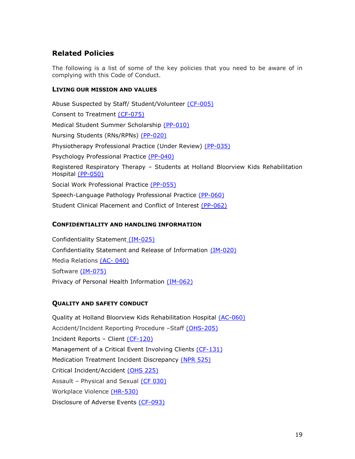# Related Policies

The following is a list of some of the key policies that you need to be aware of in complying with this Code of Conduct.

# LIVING OUR MISSION AND VALUES

Abuse Suspected by Staff/ Student/Volunteer (CF-005) Consent to Treatment (CF-075) Medical Student Summer Scholarship (PP-010) Nursing Students (RNs/RPNs) (PP-020) Physiotherapy Professional Practice (Under Review) (PP-035) Psychology Professional Practice (PP-040) Registered Respiratory Therapy – Students at Holland Bloorview Kids Rehabilitation Hospital (PP-050) Social Work Professional Practice (PP-055) Speech-Language Pathology Professional Practice (PP-060) Student Clinical Placement and Conflict of Interest (PP-062)

# CONFIDENTIALITY AND HANDLING INFORMATION

Confidentiality Statement (IM-025) Confidentiality Statement and Release of Information (IM-020) Media Relations (AC- 040) Software (IM-075) Privacy of Personal Health Information (IM-062)

# QUALITY AND SAFETY CONDUCT

Quality at Holland Bloorview Kids Rehabilitation Hospital (AC-060) Accident/Incident Reporting Procedure –Staff (OHS-205) Incident Reports – Client (CF-120) Management of a Critical Event Involving Clients (CF-131) Medication Treatment Incident Discrepancy (NPR 525) Critical Incident/Accident (OHS 225) Assault – Physical and Sexual (CF 030) Workplace Violence (HR-530) Disclosure of Adverse Events (CF-093)